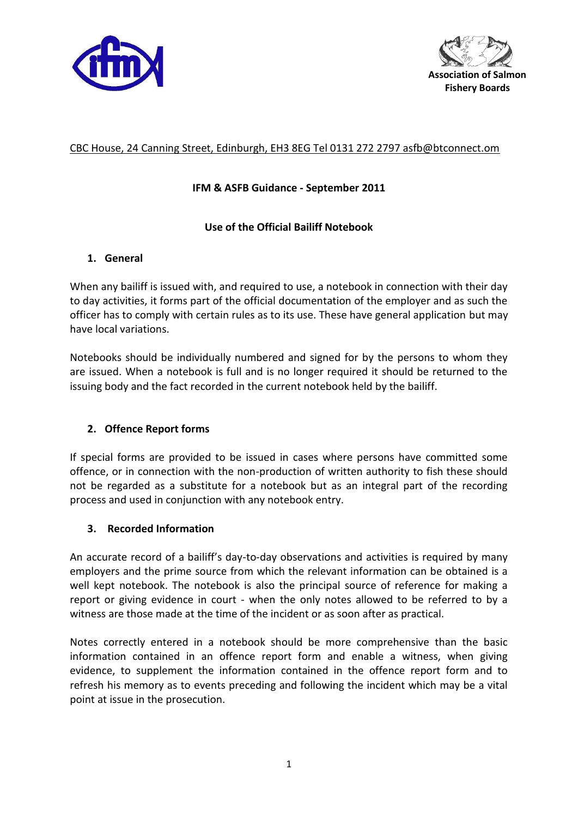



# CBC House, 24 Canning Street, Edinburgh, EH3 8EG Tel 0131 272 2797 asfb@btconnect.om

## **IFM & ASFB Guidance - September 2011**

### **Use of the Official Bailiff Notebook**

# **1. General**

When any bailiff is issued with, and required to use, a notebook in connection with their day to day activities, it forms part of the official documentation of the employer and as such the officer has to comply with certain rules as to its use. These have general application but may have local variations.

Notebooks should be individually numbered and signed for by the persons to whom they are issued. When a notebook is full and is no longer required it should be returned to the issuing body and the fact recorded in the current notebook held by the bailiff.

### **2. Offence Report forms**

If special forms are provided to be issued in cases where persons have committed some offence, or in connection with the non-production of written authority to fish these should not be regarded as a substitute for a notebook but as an integral part of the recording process and used in conjunction with any notebook entry.

### **3. Recorded Information**

An accurate record of a bailiff's day-to-day observations and activities is required by many employers and the prime source from which the relevant information can be obtained is a well kept notebook. The notebook is also the principal source of reference for making a report or giving evidence in court - when the only notes allowed to be referred to by a witness are those made at the time of the incident or as soon after as practical.

Notes correctly entered in a notebook should be more comprehensive than the basic information contained in an offence report form and enable a witness, when giving evidence, to supplement the information contained in the offence report form and to refresh his memory as to events preceding and following the incident which may be a vital point at issue in the prosecution.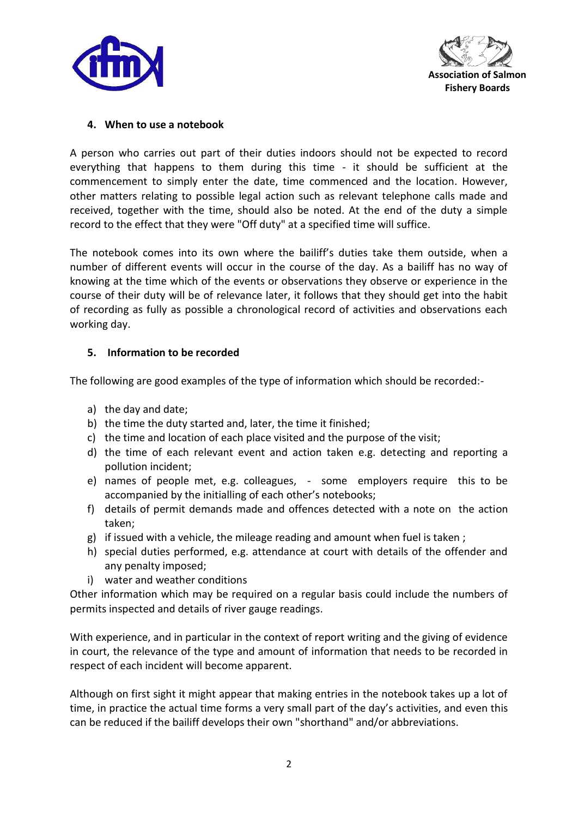



#### **4. When to use a notebook**

A person who carries out part of their duties indoors should not be expected to record everything that happens to them during this time - it should be sufficient at the commencement to simply enter the date, time commenced and the location. However, other matters relating to possible legal action such as relevant telephone calls made and received, together with the time, should also be noted. At the end of the duty a simple record to the effect that they were "Off duty" at a specified time will suffice.

The notebook comes into its own where the bailiff's duties take them outside, when a number of different events will occur in the course of the day. As a bailiff has no way of knowing at the time which of the events or observations they observe or experience in the course of their duty will be of relevance later, it follows that they should get into the habit of recording as fully as possible a chronological record of activities and observations each working day.

#### **5. Information to be recorded**

The following are good examples of the type of information which should be recorded:-

- a) the day and date;
- b) the time the duty started and, later, the time it finished;
- c) the time and location of each place visited and the purpose of the visit;
- d) the time of each relevant event and action taken e.g. detecting and reporting a pollution incident;
- e) names of people met, e.g. colleagues, some employers require this to be accompanied by the initialling of each other's notebooks;
- f) details of permit demands made and offences detected with a note on the action taken;
- g) if issued with a vehicle, the mileage reading and amount when fuel is taken ;
- h) special duties performed, e.g. attendance at court with details of the offender and any penalty imposed;
- i) water and weather conditions

Other information which may be required on a regular basis could include the numbers of permits inspected and details of river gauge readings.

With experience, and in particular in the context of report writing and the giving of evidence in court, the relevance of the type and amount of information that needs to be recorded in respect of each incident will become apparent.

Although on first sight it might appear that making entries in the notebook takes up a lot of time, in practice the actual time forms a very small part of the day's activities, and even this can be reduced if the bailiff develops their own "shorthand" and/or abbreviations.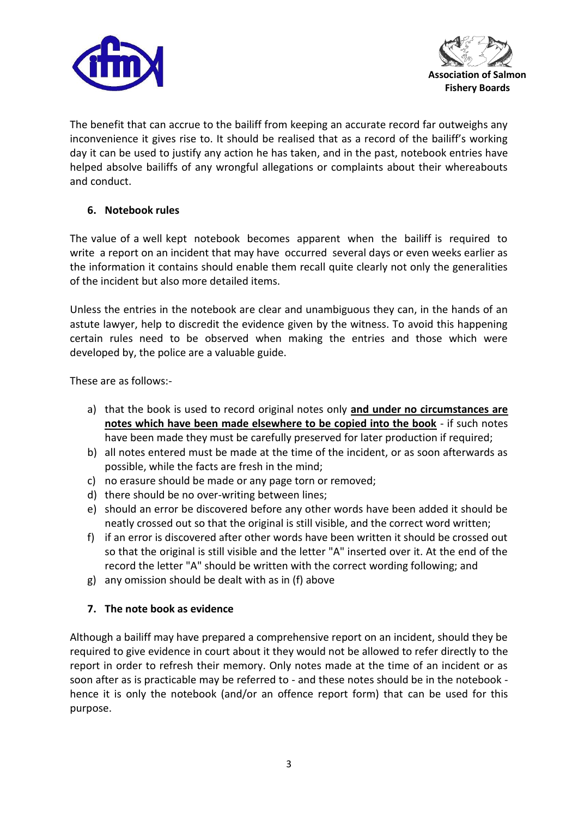



The benefit that can accrue to the bailiff from keeping an accurate record far outweighs any inconvenience it gives rise to. It should be realised that as a record of the bailiff's working day it can be used to justify any action he has taken, and in the past, notebook entries have helped absolve bailiffs of any wrongful allegations or complaints about their whereabouts and conduct.

# **6. Notebook rules**

The value of a well kept notebook becomes apparent when the bailiff is required to write a report on an incident that may have occurred several days or even weeks earlier as the information it contains should enable them recall quite clearly not only the generalities of the incident but also more detailed items.

Unless the entries in the notebook are clear and unambiguous they can, in the hands of an astute lawyer, help to discredit the evidence given by the witness. To avoid this happening certain rules need to be observed when making the entries and those which were developed by, the police are a valuable guide.

These are as follows:-

- a) that the book is used to record original notes only **and under no circumstances are notes which have been made elsewhere to be copied into the book** - if such notes have been made they must be carefully preserved for later production if required;
- b) all notes entered must be made at the time of the incident, or as soon afterwards as possible, while the facts are fresh in the mind;
- c) no erasure should be made or any page torn or removed;
- d) there should be no over-writing between lines;
- e) should an error be discovered before any other words have been added it should be neatly crossed out so that the original is still visible, and the correct word written;
- f) if an error is discovered after other words have been written it should be crossed out so that the original is still visible and the letter "A" inserted over it. At the end of the record the letter "A" should be written with the correct wording following; and
- g) any omission should be dealt with as in (f) above

### **7. The note book as evidence**

Although a bailiff may have prepared a comprehensive report on an incident, should they be required to give evidence in court about it they would not be allowed to refer directly to the report in order to refresh their memory. Only notes made at the time of an incident or as soon after as is practicable may be referred to - and these notes should be in the notebook hence it is only the notebook (and/or an offence report form) that can be used for this purpose.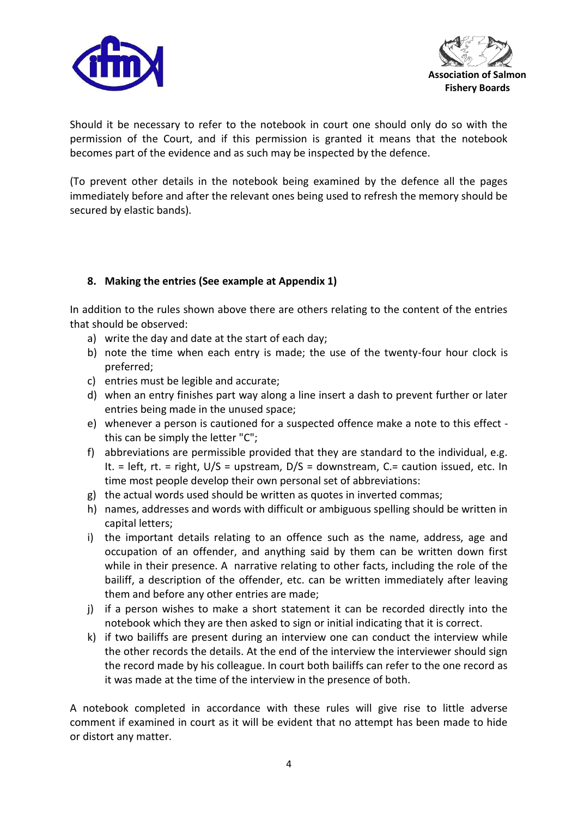



Should it be necessary to refer to the notebook in court one should only do so with the permission of the Court, and if this permission is granted it means that the notebook becomes part of the evidence and as such may be inspected by the defence.

(To prevent other details in the notebook being examined by the defence all the pages immediately before and after the relevant ones being used to refresh the memory should be secured by elastic bands).

### **8. Making the entries (See example at Appendix 1)**

In addition to the rules shown above there are others relating to the content of the entries that should be observed:

- a) write the day and date at the start of each day;
- b) note the time when each entry is made; the use of the twenty-four hour clock is preferred;
- c) entries must be legible and accurate;
- d) when an entry finishes part way along a line insert a dash to prevent further or later entries being made in the unused space;
- e) whenever a person is cautioned for a suspected offence make a note to this effect this can be simply the letter "C";
- f) abbreviations are permissible provided that they are standard to the individual, e.g. It. = left, rt. = right,  $U/S$  = upstream,  $D/S$  = downstream,  $C =$  caution issued, etc. In time most people develop their own personal set of abbreviations:
- g) the actual words used should be written as quotes in inverted commas;
- h) names, addresses and words with difficult or ambiguous spelling should be written in capital letters;
- i) the important details relating to an offence such as the name, address, age and occupation of an offender, and anything said by them can be written down first while in their presence. A narrative relating to other facts, including the role of the bailiff, a description of the offender, etc. can be written immediately after leaving them and before any other entries are made;
- j) if a person wishes to make a short statement it can be recorded directly into the notebook which they are then asked to sign or initial indicating that it is correct.
- k) if two bailiffs are present during an interview one can conduct the interview while the other records the details. At the end of the interview the interviewer should sign the record made by his colleague. In court both bailiffs can refer to the one record as it was made at the time of the interview in the presence of both.

A notebook completed in accordance with these rules will give rise to little adverse comment if examined in court as it will be evident that no attempt has been made to hide or distort any matter.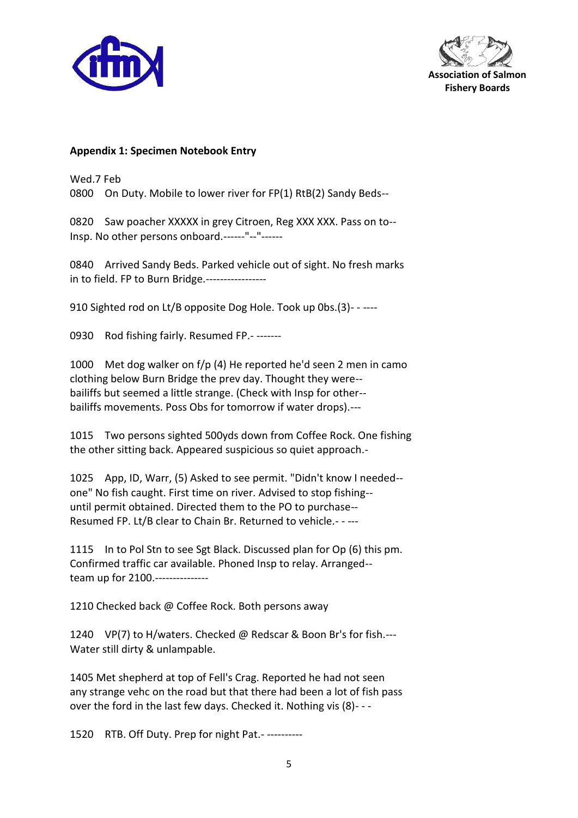



#### **Appendix 1: Specimen Notebook Entry**

Wed.7 Feb 0800 On Duty. Mobile to lower river for FP(1) RtB(2) Sandy Beds--

0820 Saw poacher XXXXX in grey Citroen, Reg XXX XXX. Pass on to-- Insp. No other persons onboard.------"--"------

0840 Arrived Sandy Beds. Parked vehicle out of sight. No fresh marks in to field. FP to Burn Bridge.-----------------

910 Sighted rod on Lt/B opposite Dog Hole. Took up 0bs.(3)- - ----

0930 Rod fishing fairly. Resumed FP.- -------

1000 Met dog walker on f/p (4) He reported he'd seen 2 men in camo clothing below Burn Bridge the prev day. Thought they were- bailiffs but seemed a little strange. (Check with Insp for other- bailiffs movements. Poss Obs for tomorrow if water drops).---

1015 Two persons sighted 500yds down from Coffee Rock. One fishing the other sitting back. Appeared suspicious so quiet approach.-

1025 App, ID, Warr, (5) Asked to see permit. "Didn't know I needed- one" No fish caught. First time on river. Advised to stop fishing- until permit obtained. Directed them to the PO to purchase-- Resumed FP. Lt/B clear to Chain Br. Returned to vehicle.- - ---

1115 In to Pol Stn to see Sgt Black. Discussed plan for Op (6) this pm. Confirmed traffic car available. Phoned Insp to relay. Arranged- team up for 2100.---------------

1210 Checked back @ Coffee Rock. Both persons away

1240 VP(7) to H/waters. Checked @ Redscar & Boon Br's for fish.--- Water still dirty & unlampable.

1405 Met shepherd at top of Fell's Crag. Reported he had not seen any strange vehc on the road but that there had been a lot of fish pass over the ford in the last few days. Checked it. Nothing vis (8)- - -

1520 RTB. Off Duty. Prep for night Pat.- ----------